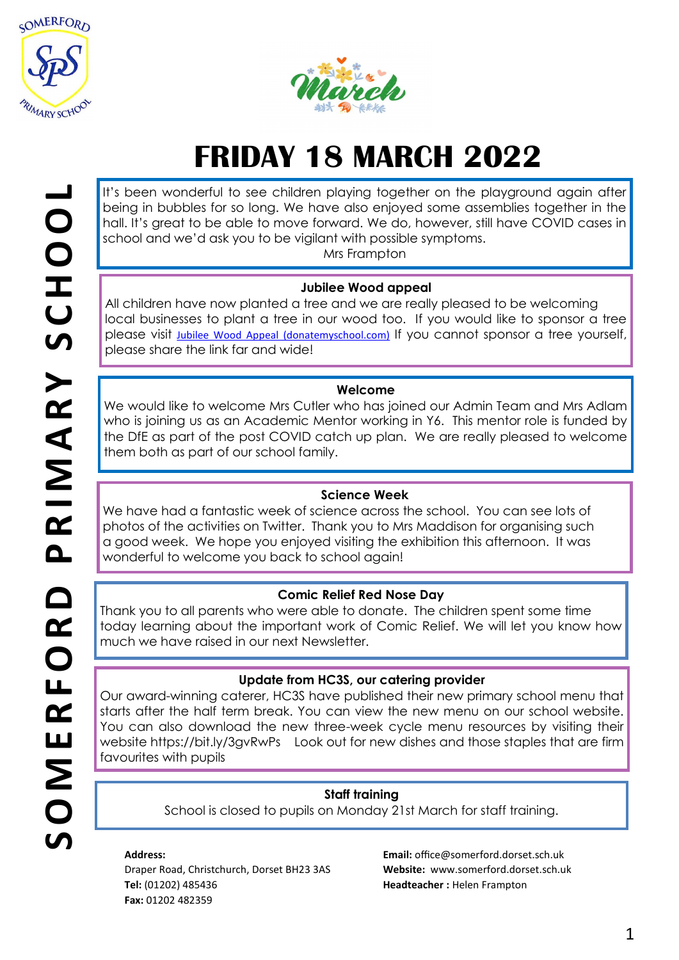



# **FRIDAY 18 MARCH 2022**

It's been wonderful to see children playing together on the playground again after being in bubbles for so long. We have also enjoyed some assemblies together in the hall. It's great to be able to move forward. We do, however, still have COVID cases in school and we'd ask you to be vigilant with possible symptoms.

Mrs Frampton

## **Jubilee Wood appeal**

All children have now planted a tree and we are really pleased to be welcoming local businesses to plant a tree in our wood too. If you would like to sponsor a tree please visit *[Jubilee Wood Appeal \(donatemyschool.com\)](https://donatemyschool.com/somerford-primary-school-2785)* If you cannot sponsor a tree yourself, please share the link far and wide!

### **Welcome**

We would like to welcome Mrs Cutler who has joined our Admin Team and Mrs Adlam who is joining us as an Academic Mentor working in Y6. This mentor role is funded by the DfE as part of the post COVID catch up plan. We are really pleased to welcome them both as part of our school family.

## **Science Week**

We have had a fantastic week of science across the school. You can see lots of photos of the activities on Twitter. Thank you to Mrs Maddison for organising such a good week. We hope you enjoyed visiting the exhibition this afternoon. It was wonderful to welcome you back to school again!

### **Comic Relief Red Nose Day**

Thank you to all parents who were able to donate. The children spent some time today learning about the important work of Comic Relief. We will let you know how much we have raised in our next Newsletter.

### **Update from HC3S, our catering provider**

Our award-winning caterer, HC3S have published their new primary school menu that starts after the half term break. You can view the new menu on our school website. You can also download the new three-week cycle menu resources by visiting their website https://bit.ly/3gvRwPs Look out for new dishes and those staples that are firm favourites with pupils

### **Staff training**

School is closed to pupils on Monday 21st March for staff training.

**Address:** 

Draper Road, Christchurch, Dorset BH23 3AS **Tel:** (01202) 485436 **Fax:** 01202 482359

**Email:** office@somerford.dorset.sch.uk **Website:** www.somerford.dorset.sch.uk **Headteacher :** Helen Frampton